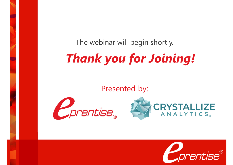The webinar will begin shortly.

# *Thank you for Joining!*

Presented by:





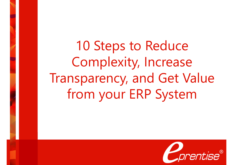10 Steps to Reduce Complexity, Increase Transparency, and Get Value from your ERP System

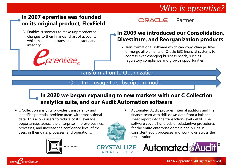### *Who Is eprentise?*

Partner

#### **In 2007 eprentise was founded on its original product, FlexField**

 Enables customers to make unprecedented changes to their financial chart of accounts while maintaining transactional history and data integrity.



#### **In 2009 we introduced our Consolidation, Divestiture, and Reorganization products**

ORACLE

 $\triangleright$  Transformational software which can copy, change, filter, or merge all elements of Oracle EBS financial systems to address ever-changing business needs, such as regulatory compliance and growth opportunities.

#### Transformation to Optimization

#### One-time usage to subscription model

#### **In 2020 we began expanding to new markets with our C Collection analytics suite, and our Audit Automation software**

 $\triangleright$  C Collection analytics provides transparency and identifies potential problem areas with transactional data. This allows users to reduce costs, leverage opportunities across the enterprise, improve business processes, and increase the confidence level of the users in their data, processes, and operations.



www.

prentise.com





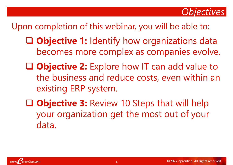

### Upon completion of this webinar, you will be able to:

- **Objective 1:** Identify how organizations data becomes more complex as companies evolve.
- **Objective 2:** Explore how IT can add value to the business and reduce costs, even within an existing ERP system.
- **Objective 3:** Review 10 Steps that will help your organization get the most out of your data.

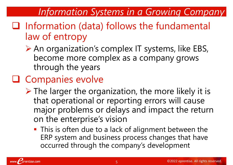### *Information Systems in a Growing Company*

- $\Box$  Information (data) follows the fundamental law of entropy
	- ▶ An organization's complex IT systems, like EBS, become more complex as a company grows through the years

## **Q** Companies evolve

- $\triangleright$  The larger the organization, the more likely it is that operational or reporting errors will cause major problems or delays and impact the return on the enterprise's vision
	- **This is often due to a lack of alignment between the** ERP system and business process changes that have occurred through the company's development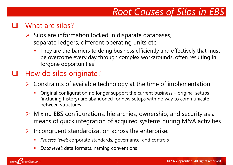## *Root Causes of Silos in EBS*

#### What are silos?

- $\triangleright$  Silos are information locked in disparate databases, separate ledgers, different operating units etc.
	- They are the barriers to doing business efficiently and effectively that must be overcome every day through complex workarounds, often resulting in forgone opportunities

#### How do silos originate?

- $\triangleright$  Constraints of available technology at the time of implementation
	- Original configuration no longer support the current business original setups (including history) are abandoned for new setups with no way to communicate between structures
- $\triangleright$  Mixing EBS configurations, hierarchies, ownership, and security as a means of quick integration of acquired systems during M&A activities
- $\triangleright$  Incongruent standardization across the enterprise:
	- *Process level*: corporate standards, governance, and controls
	- *Data level*: data formats, naming conventions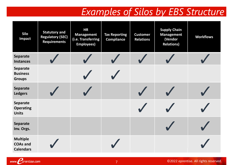## *Examples of Silos by EBS Structure*

| Silo<br>Impact                                         | <b>Statutory and</b><br><b>Regulatory (SEC)</b><br><b>Requirements</b> | <b>HR</b><br><b>Management</b><br>(i.e. Transferring<br><b>Employees)</b> | <b>Tax Reporting</b><br><b>Compliance</b> | <b>Customer</b><br><b>Relations</b> | <b>Supply Chain</b><br><b>Management</b><br>(Vendor<br><b>Relations)</b> | <b>Workflows</b> |
|--------------------------------------------------------|------------------------------------------------------------------------|---------------------------------------------------------------------------|-------------------------------------------|-------------------------------------|--------------------------------------------------------------------------|------------------|
| <b>Separate</b><br><b>Instances</b>                    |                                                                        |                                                                           |                                           |                                     |                                                                          |                  |
| <b>Separate</b><br><b>Business</b><br><b>Groups</b>    |                                                                        |                                                                           |                                           |                                     |                                                                          |                  |
| <b>Separate</b><br><b>Ledgers</b>                      |                                                                        |                                                                           |                                           |                                     |                                                                          |                  |
| <b>Separate</b><br><b>Operating</b><br><b>Units</b>    |                                                                        |                                                                           |                                           |                                     |                                                                          |                  |
| <b>Separate</b><br>Inv. Orgs.                          |                                                                        |                                                                           |                                           |                                     |                                                                          |                  |
| <b>Multiple</b><br><b>COAs and</b><br><b>Calendars</b> |                                                                        |                                                                           |                                           |                                     |                                                                          |                  |

www. Corentise.com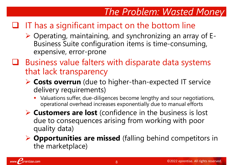## *The Problem: Wasted Money*

### $\Box$  IT has a significant impact on the bottom line

- $\triangleright$  Operating, maintaining, and synchronizing an array of E-Business Suite configuration items is time-consuming, expensive, error-prone
- $\Box$  Business value falters with disparate data systems that lack transparency
	- **Costs overrun** (due to higher-than-expected IT service delivery requirements)
		- Valuations suffer, due-diligences become lengthy and sour negotiations, operational overhead increases exponentially due to manual efforts
	- **Customers are lost** (confidence in the business is lost due to consequences arising from working with poor quality data)
	- **▶ Opportunities are missed** (falling behind competitors in the marketplace)

prentise.com

www.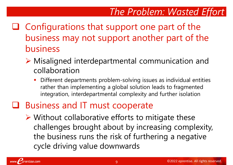## *The Problem: Wasted Effort*

- $\Box$  Configurations that support one part of the business may not support another part of the business
	- Misaligned interdepartmental communication and collaboration
		- Different departments problem-solving issues as individual entities rather than implementing a global solution leads to fragmented integration, interdepartmental complexity and further isolation
- **□** Business and IT must cooperate
	- $\triangleright$  Without collaborative efforts to mitigate these challenges brought about by increasing complexity, the business runs the risk of furthering a negative cycle driving value downwards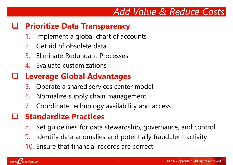### *Add Value & Reduce Costs*

#### **Prioritize Data Transparency**

- Implement a global chart of accounts
- 2. Get rid of obsolete data
- 3. Eliminate Redundant Processes
- 4. Evaluate customizations

### **Leverage Global Advantages**

- 5. Operate a shared services center model
- 6. Normalize supply chain management
- 7. Coordinate technology availability and access

### **Standardize Practices**

- 8. Set guidelines for data stewardship, governance, and control
- 9. Identify data anomalies and potentially fraudulent activity
- 10. Ensure that financial records are correct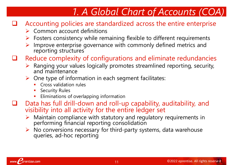## *1. A Global Chart of Accounts (COA)*

- $\Box$  Accounting policies are standardized across the entire enterprise
	- $\triangleright$  Common account definitions
	- $\triangleright$  Fosters consistency while remaining flexible to different requirements
	- Improve enterprise governance with commonly defined metrics and reporting structures
- Reduce complexity of configurations and eliminate redundancies
	- $\triangleright$  Ranging your values logically promotes streamlined reporting, security, and maintenance
	- $\triangleright$  One type of information in each segment facilitates:
		- Cross validation rules
		- Security Rules
		- Eliminations of overlapping information
- Data has full drill-down and roll-up capability, auditability, and visibility into all activity for the entire ledger set
	- $\triangleright$  Maintain compliance with statutory and regulatory requirements in performing financial reporting consolidation
	- $\triangleright$  No conversions necessary for third-party systems, data warehouse queries, ad-hoc reporting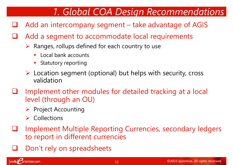## *1. Global COA Design Recommendations*

- $\Box$  Add an intercompany segment take advantage of AGIS
- Add a segment to accommodate local requirements
	- $\triangleright$  Ranges, rollups defined for each country to use
		- Local bank accounts
		- Statutory reporting
	- $\triangleright$  Location segment (optional) but helps with security, cross validation
- Implement other modules for detailed tracking at a local level (through an OU)
	- $\triangleright$  Project Accounting
	- $\triangleright$  Collections
- Implement Multiple Reporting Currencies, secondary ledgers to report in different currencies
- Don't rely on spreadsheets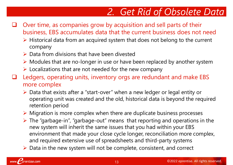## *2. Get Rid of Obsolete Data*

- $\Box$  Over time, as companies grow by acquisition and sell parts of their business, EBS accumulates data that the current business does not need
	- $\triangleright$  Historical data from an acquired system that does not belong to the current company
	- $\triangleright$  Data from divisions that have been divested
	- $\triangleright$  Modules that are no-longer in use or have been replaced by another system
	- $\triangleright$  Localizations that are not needed for the new company
- Ledgers, operating units, inventory orgs are redundant and make EBS more complex
	- Data that exists after a "start-over" when a new ledger or legal entity or operating unit was created and the old, historical data is beyond the required retention period
	- $\triangleright$  Migration is more complex when there are duplicate business processes
	- $\triangleright$  The "garbage-in", "garbage-out" means that reporting and operations in the new system will inherit the same issues that you had within your EBS environment that made your close cycle longer, reconciliation more complex, and required extensive use of spreadsheets and third-party systems
	- $\triangleright$  Data in the new system will not be complete, consistent, and correct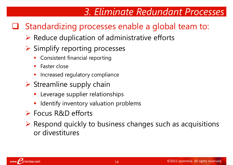## *3. Eliminate Redundant Processes*

### **□** Standardizing processes enable a global team to:

 $\triangleright$  Reduce duplication of administrative efforts

#### $\triangleright$  Simplify reporting processes

- Consistent financial reporting
- Faster close
- Increased regulatory compliance
- $\triangleright$  Streamline supply chain
	- **Leverage supplier relationships**
	- Identify inventory valuation problems
- Focus R&D efforts
- $\triangleright$  Respond quickly to business changes such as acquisitions or divestitures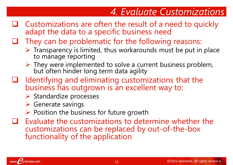## *4. Evaluate Customizations*

- $\Box$  Customizations are often the result of a need to quickly adapt the data to a specific business need
- $\Box$  They can be problematic for the following reasons:
	- $\triangleright$  Transparency is limited, thus workarounds must be put in place to manage reporting
	- $\triangleright$  They were implemented to solve a current business problem, but often hinder long term data agility
- $\Box$  Identifying and eliminating customizations that the business has outgrown is an excellent way to:
	- $\triangleright$  Standardize processes
	- $\triangleright$  Generate savings
	- $\triangleright$  Position the business for future growth
- $\Box$  Evaluate the customizations to determine whether the customizations can be replaced by out-of-the-box functionality of the application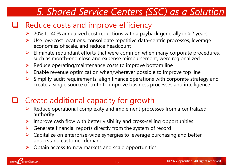### *5. Shared Service Centers (SSC) as a Solution*

#### $\Box$  Reduce costs and improve efficiency

- 20% to 40% annualized cost reductions with a payback generally in >2 years
- Use low-cost locations, consolidate repetitive data-centric processes, leverage economies of scale, and reduce headcount
- $\triangleright$  Eliminate redundant efforts that were common when many corporate procedures, such as month-end close and expense reimbursement, were regionalized
- $\triangleright$  Reduce operating/maintenance costs to improve bottom line
- $\triangleright$  Enable revenue optimization when/wherever possible to improve top line
- Simplify audit requirements, align finance operations with corporate strategy and create a single source of truth to improve business processes and intelligence

### Create additional capacity for growth

- Reduce operational complexity and implement processes from a centralized authority
- $\triangleright$  Improve cash flow with better visibility and cross-selling opportunities
- Generate financial reports directly from the system of record
- $\triangleright$  Capitalize on enterprise-wide synergies to leverage purchasing and better understand customer demand
- $\triangleright$  Obtain access to new markets and scale opportunities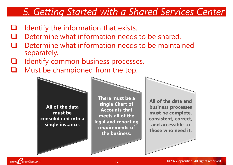## *5. Getting Started with a Shared Services Center*

- Identify the information that exists.
- Determine what information needs to be shared.
- Determine what information needs to be maintained separately.
- Identify common business processes.
- $\Box$  Must be championed from the top.

**All of the data must be consolidated into a single instance.**

**There must be a single Chart of Accounts that meets all of the legal and reporting requirements of the business.**

**All of the data and business processes must be complete, consistent, correct, and accessible to those who need it.**

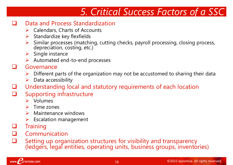## *5. Critical Success Factors of a SSC*

#### Data and Process Standardization

- $\triangleright$  Calendars, Charts of Accounts
- $\triangleright$  Standardize key flexfields
- Similar processes (matching, cutting checks, payroll processing, closing process, depreciation, costing, etc.)
- $\triangleright$  Single instance
- $\triangleright$  Automated end-to-end processes

#### Governance

- Different parts of the organization may not be accustomed to sharing their data
- $\triangleright$  Data accessibility
- Understanding local and statutory requirements of each location
- $\Box$  Supporting infrastructure
	- Volumes
	- $\triangleright$  Time zones
	- $\triangleright$  Maintenance windows
	- Escalation management
- **Training**
- Communication
- Setting up organization structures for visibility and transparency (ledgers, legal entities, operating units, business groups, inventories)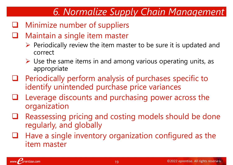## *6. Normalize Supply Chain Management*

- **Q** Minimize number of suppliers
- **Q** Maintain a single item master
	- $\triangleright$  Periodically review the item master to be sure it is updated and correct
	- $\triangleright$  Use the same items in and among various operating units, as appropriate
- $\Box$  Periodically perform analysis of purchases specific to identify unintended purchase price variances
- $\Box$  Leverage discounts and purchasing power across the organization
- $\Box$  Reassessing pricing and costing models should be done regularly, and globally
- $\Box$  Have a single inventory organization configured as the item master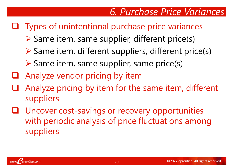## *6. Purchase Price Variances*

### **Q** Types of unintentional purchase price variances

- $\triangleright$  Same item, same supplier, different price(s)
- $\triangleright$  Same item, different suppliers, different price(s)
- $\triangleright$  Same item, same supplier, same price(s)
- Analyze vendor pricing by item
- Analyze pricing by item for the same item, different suppliers
- Uncover cost-savings or recovery opportunities with periodic analysis of price fluctuations among suppliers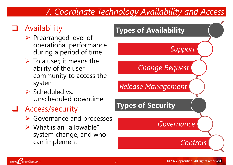### *7. Coordinate Technology Availability and Access*

### **Availability**

- $\triangleright$  Prearranged level of operational performance during a period of time
- $\triangleright$  To a user, it means the ability of the user community to access the system
- $\triangleright$  Scheduled vs. Unscheduled downtime

### Access/security

prentise.com

www.f

- **► Governance and processes**
- $\triangleright$  What is an "allowable" system change, and who can implement

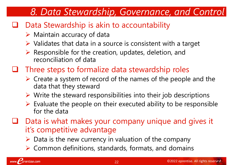## *8. Data Stewardship, Governance, and Control*

### $\Box$  Data Stewardship is akin to accountability

- $\triangleright$  Maintain accuracy of data
- $\triangleright$  Validates that data in a source is consistent with a target
- $\triangleright$  Responsible for the creation, updates, deletion, and reconciliation of data
- $\Box$  Three steps to formalize data stewardship roles
	- $\triangleright$  Create a system of record of the names of the people and the data that they steward
	- $\triangleright$  Write the steward responsibilities into their job descriptions
	- $\triangleright$  Evaluate the people on their executed ability to be responsible for the data
- Data is what makes your company unique and gives it it's competitive advantage
	- $\triangleright$  Data is the new currency in valuation of the company
	- $\triangleright$  Common definitions, standards, formats, and domains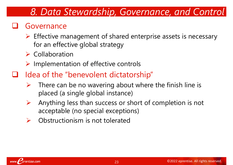### *8. Data Stewardship, Governance, and Control*

#### **Q** Governance

- $\triangleright$  Effective management of shared enterprise assets is necessary for an effective global strategy
- $\triangleright$  Collaboration
- $\triangleright$  Implementation of effective controls
- $\Box$  Idea of the "benevolent dictatorship"
	- $\triangleright$  There can be no wavering about where the finish line is placed (a single global instance)
	- $\triangleright$  Anything less than success or short of completion is not acceptable (no special exceptions)
	- $\triangleright$  Obstructionism is not tolerated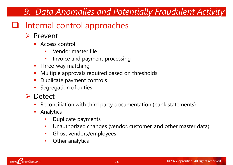### *9. Data Anomalies and Potentially Fraudulent Activity*

### **□** Internal control approaches

#### **Prevent**

- **Access control** 
	- Vendor master file
	- Invoice and payment processing
- Three-way matching
- **Multiple approvals required based on thresholds**
- Duplicate payment controls
- **Segregation of duties**
- **►** Detect
	- Reconciliation with third party documentation (bank statements)
	- Analytics
		- Duplicate payments
		- Unauthorized changes (vendor, customer, and other master data)
		- Ghost vendors/employees
		- Other analytics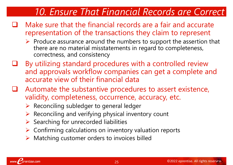### *10. Ensure That Financial Records are Correct*

- $\Box$  Make sure that the financial records are a fair and accurate representation of the transactions they claim to represent
	- $\triangleright$  Produce assurance around the numbers to support the assertion that there are no material misstatements in regard to completeness, correctness, and consistency
- By utilizing standard procedures with a controlled review and approvals workflow companies can get a complete and accurate view of their financial data
- Automate the substantive procedures to assert existence, validity, completeness, occurrence, accuracy, etc.
	- $\triangleright$  Reconciling subledger to general ledger
	- $\triangleright$  Reconciling and verifying physical inventory count
	- Searching for unrecorded liabilities
	- $\triangleright$  Confirming calculations on inventory valuation reports
	- $\triangleright$  Matching customer orders to invoices billed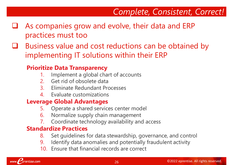### *Complete, Consistent, Correct!*

- $\Box$  As companies grow and evolve, their data and ERP practices must too
- $\Box$  Business value and cost reductions can be obtained by implementing IT solutions within their ERP

#### **Prioritize Data Transparency**

- 1. Implement a global chart of accounts
- 2. Get rid of obsolete data
- 3. Eliminate Redundant Processes
- 4. Evaluate customizations

#### **Leverage Global Advantages**

- 5. Operate a shared services center model
- 6. Normalize supply chain management
- 7. Coordinate technology availability and access

#### **Standardize Practices**

- 8. Set guidelines for data stewardship, governance, and control
- 9. Identify data anomalies and potentially fraudulent activity
- 10. Ensure that financial records are correct